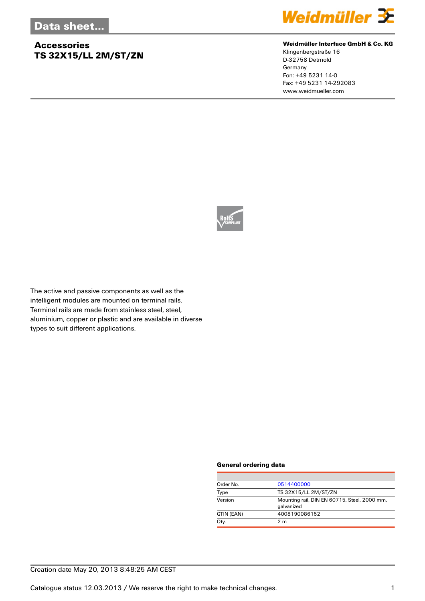## **Accessories TS 32X15/LL 2M/ST/ZN**



#### **Weidmüller Interface GmbH & Co. KG**

Klingenbergstraße 16 D-32758 Detmold Germany Fon: +49 5231 14-0 Fax: +49 5231 14-292083 www.weidmueller.com



The active and passive components as well as the intelligent modules are mounted on terminal rails. Terminal rails are made from stainless steel, steel, aluminium, copper or plastic and are available in diverse types to suit different applications.

#### **General ordering data**

| Order No.  | 0514400000                                                 |
|------------|------------------------------------------------------------|
| Type       | TS 32X15/LL 2M/ST/ZN                                       |
| Version    | Mounting rail, DIN EN 60715, Steel, 2000 mm,<br>galvanized |
| GTIN (EAN) | 4008190086152                                              |
| Qty.       | 2 <sub>m</sub>                                             |